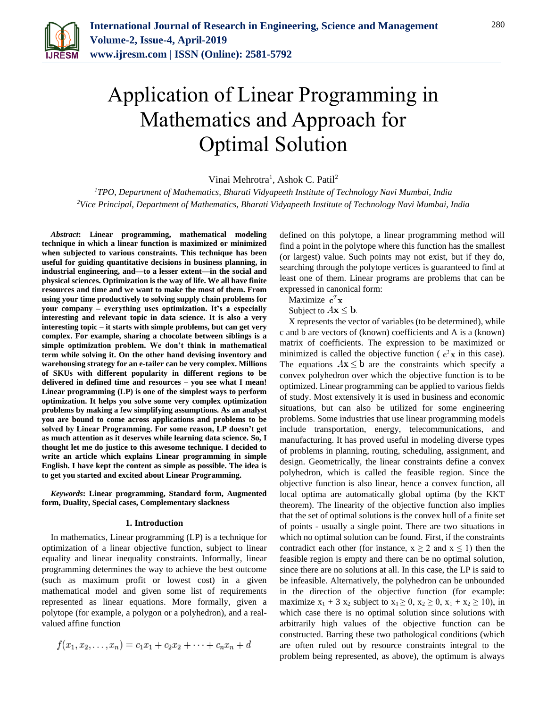

# Application of Linear Programming in Mathematics and Approach for Optimal Solution

Vinai Mehrotra<sup>1</sup>, Ashok C. Patil<sup>2</sup>

*<sup>1</sup>TPO, Department of Mathematics, Bharati Vidyapeeth Institute of Technology Navi Mumbai, India 2Vice Principal, Department of Mathematics, Bharati Vidyapeeth Institute of Technology Navi Mumbai, India*

*Abstract***: Linear programming, mathematical modeling technique in which a linear function is maximized or minimized when subjected to various constraints. This technique has been useful for guiding quantitative decisions in business planning, in industrial engineering, and—to a lesser extent—in the social and physical sciences. Optimization is the way of life. We all have finite resources and time and we want to make the most of them. From using your time productively to solving supply chain problems for your company – everything uses optimization. It's a especially interesting and relevant topic in data science. It is also a very interesting topic – it starts with simple problems, but can get very complex. For example, sharing a chocolate between siblings is a simple optimization problem. We don't think in mathematical term while solving it. On the other hand devising inventory and warehousing strategy for an e-tailer can be very complex. Millions of SKUs with different popularity in different regions to be delivered in defined time and resources – you see what I mean! Linear programming (LP) is one of the simplest ways to perform optimization. It helps you solve some very complex optimization problems by making a few simplifying assumptions. As an analyst you are bound to come across applications and problems to be solved by Linear Programming. For some reason, LP doesn't get as much attention as it deserves while learning data science. So, I thought let me do justice to this awesome technique. I decided to write an article which explains Linear programming in simple English. I have kept the content as simple as possible. The idea is to get you started and excited about Linear Programming.**

*Keywords***: Linear programming, Standard form, Augmented form, Duality, Special cases, Complementary slackness**

#### **1. Introduction**

In mathematics, Linear programming (LP) is a technique for optimization of a linear objective function, subject to linear equality and linear inequality constraints. Informally, linear programming determines the way to achieve the best outcome (such as maximum profit or lowest cost) in a given mathematical model and given some list of requirements represented as linear equations. More formally, given a polytope (for example, a polygon or a polyhedron), and a realvalued affine function

$$
f(x_1, x_2, \ldots, x_n) = c_1 x_1 + c_2 x_2 + \cdots + c_n x_n + d
$$

defined on this polytope, a linear programming method will find a point in the polytope where this function has the smallest (or largest) value. Such points may not exist, but if they do, searching through the polytope vertices is guaranteed to find at least one of them. Linear programs are problems that can be expressed in canonical form:

Maximize  $\mathbf{c}^T \mathbf{x}$ 

Subject to  $A\mathbf{x} \leq \mathbf{b}$ .

X represents the vector of variables (to be determined), while c and b are vectors of (known) coefficients and A is a (known) matrix of coefficients. The expression to be maximized or minimized is called the objective function ( $c<sup>T</sup>x$  in this case). The equations  $Ax \leq b$  are the constraints which specify a convex polyhedron over which the objective function is to be optimized. Linear programming can be applied to various fields of study. Most extensively it is used in business and economic situations, but can also be utilized for some engineering problems. Some industries that use linear programming models include transportation, energy, telecommunications, and manufacturing. It has proved useful in modeling diverse types of problems in planning, routing, scheduling, assignment, and design. Geometrically, the linear constraints define a convex polyhedron, which is called the feasible region. Since the objective function is also linear, hence a convex function, all local optima are automatically global optima (by the KKT theorem). The linearity of the objective function also implies that the set of optimal solutions is the convex hull of a finite set of points - usually a single point. There are two situations in which no optimal solution can be found. First, if the constraints contradict each other (for instance,  $x \ge 2$  and  $x \le 1$ ) then the feasible region is empty and there can be no optimal solution, since there are no solutions at all. In this case, the LP is said to be infeasible. Alternatively, the polyhedron can be unbounded in the direction of the objective function (for example: maximize  $x_1 + 3 x_2$  subject to  $x_1 \ge 0$ ,  $x_2 \ge 0$ ,  $x_1 + x_2 \ge 10$ ), in which case there is no optimal solution since solutions with arbitrarily high values of the objective function can be constructed. Barring these two pathological conditions (which are often ruled out by resource constraints integral to the problem being represented, as above), the optimum is always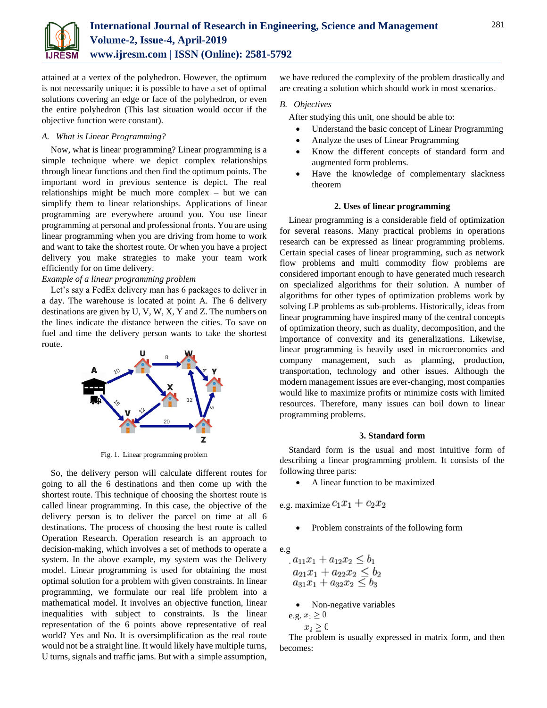

attained at a vertex of the polyhedron. However, the optimum is not necessarily unique: it is possible to have a set of optimal solutions covering an edge or face of the polyhedron, or even the entire polyhedron (This last situation would occur if the objective function were constant).

## *A. What is Linear Programming?*

Now, what is linear programming? Linear programming is a simple technique where we depict complex relationships through linear functions and then find the optimum points. The important word in previous sentence is depict. The real relationships might be much more complex – but we can simplify them to linear relationships. Applications of linear programming are everywhere around you. You use linear programming at personal and professional fronts. You are using linear programming when you are driving from home to work and want to take the shortest route. Or when you have a project delivery you make strategies to make your team work efficiently for on time delivery.

# *Example of a linear programming problem*

Let's say a FedEx delivery man has 6 packages to deliver in a day. The warehouse is located at point A. The 6 delivery destinations are given by U, V, W, X, Y and Z. The numbers on the lines indicate the distance between the cities. To save on fuel and time the delivery person wants to take the shortest route.



Fig. 1. Linear programming problem

So, the delivery person will calculate different routes for going to all the 6 destinations and then come up with the shortest route. This technique of choosing the shortest route is called linear programming. In this case, the objective of the delivery person is to deliver the parcel on time at all 6 destinations. The process of choosing the best route is called Operation Research. Operation research is an approach to decision-making, which involves a set of methods to operate a system. In the above example, my system was the Delivery model. Linear programming is used for obtaining the most optimal solution for a problem with given constraints. In linear programming, we formulate our real life problem into a mathematical model. It involves an objective function, linear inequalities with subject to constraints. Is the linear representation of the 6 points above representative of real world? Yes and No. It is oversimplification as the real route would not be a straight line. It would likely have multiple turns, U turns, signals and traffic jams. But with a simple assumption,

we have reduced the complexity of the problem drastically and are creating a solution which should work in most scenarios.

## *B. Objectives*

After studying this unit, one should be able to:

- Understand the basic concept of Linear Programming
- Analyze the uses of Linear Programming
- Know the different concepts of standard form and augmented form problems.
- Have the knowledge of complementary slackness theorem

# **2. Uses of linear programming**

Linear programming is a considerable field of optimization for several reasons. Many practical problems in operations research can be expressed as linear programming problems. Certain special cases of linear programming, such as network flow problems and multi commodity flow problems are considered important enough to have generated much research on specialized algorithms for their solution. A number of algorithms for other types of optimization problems work by solving LP problems as sub-problems. Historically, ideas from linear programming have inspired many of the central concepts of optimization theory, such as duality, decomposition, and the importance of convexity and its generalizations. Likewise, linear programming is heavily used in microeconomics and company management, such as planning, production, transportation, technology and other issues. Although the modern management issues are ever-changing, most companies would like to maximize profits or minimize costs with limited resources. Therefore, many issues can boil down to linear programming problems.

### **3. Standard form**

Standard form is the usual and most intuitive form of describing a linear programming problem. It consists of the following three parts:

A linear function to be maximized

e.g. maximize  $c_1x_1+c_2x_2$ 

Problem constraints of the following form

e.g

$$
a_{11}x_1 + a_{12}x_2 \le b_1a_{21}x_1 + a_{22}x_2 \le b_2a_{31}x_1 + a_{32}x_2 \le b_3
$$

Non-negative variables

e.g. 
$$
x_1 \geq 0
$$

$$
x_2\geq
$$

 $\overline{0}$ 

The problem is usually expressed in matrix form, and then becomes: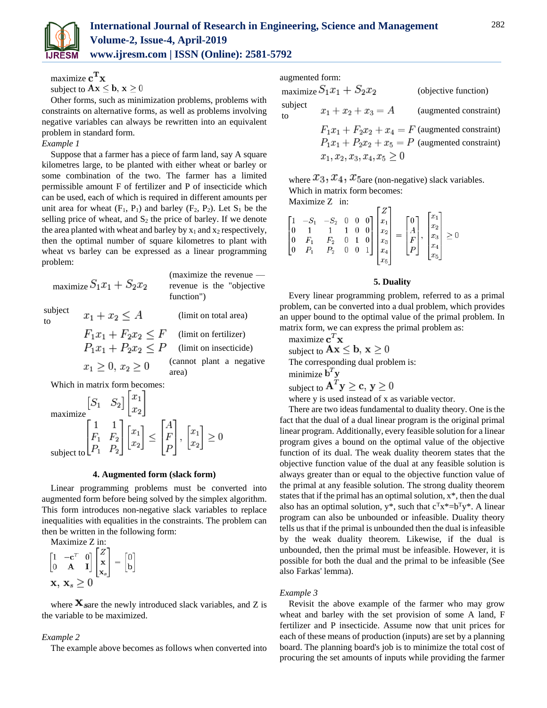

maximize  $\mathbf{c}^{\mathbf{T}}\mathbf{x}$ subject to  $Ax \leq b$ ,  $x \geq 0$ 

Other forms, such as minimization problems, problems with constraints on alternative forms, as well as problems involving negative variables can always be rewritten into an equivalent problem in standard form.

# *Example 1*

Suppose that a farmer has a piece of farm land, say A square kilometres large, to be planted with either wheat or barley or some combination of the two. The farmer has a limited permissible amount F of fertilizer and P of insecticide which can be used, each of which is required in different amounts per unit area for wheat  $(F_1, P_1)$  and barley  $(F_2, P_2)$ . Let  $S_1$  be the selling price of wheat, and  $S_2$  the price of barley. If we denote the area planted with wheat and barley by  $x_1$  and  $x_2$  respectively, then the optimal number of square kilometres to plant with wheat vs barley can be expressed as a linear programming problem:

|                               | maximize $S_1x_1 + S_2x_2$ | $(maximize the revenue$ —<br>revenue is the "objective"<br>function") |  |  |  |  |
|-------------------------------|----------------------------|-----------------------------------------------------------------------|--|--|--|--|
| subject<br>tο                 | $x_1 + x_2 \leq A$         | (limit on total area)                                                 |  |  |  |  |
|                               | $F_1x_1 + F_2x_2 \leq F$   | (limit on fertilizer)                                                 |  |  |  |  |
|                               | $P_1x_1 + P_2x_2 \leq P$   | (limit on insecticide)                                                |  |  |  |  |
|                               | $x_1 > 0, x_2 > 0$         | (cannot plant a negative<br>area)                                     |  |  |  |  |
| Which in matrix form becomes: |                            |                                                                       |  |  |  |  |

$$
\begin{array}{ll}\n\text{maximize} & \begin{bmatrix} S_1 & S_2 \end{bmatrix} \begin{bmatrix} x_1 \\ x_2 \end{bmatrix} \\
\text{maximize} & \begin{bmatrix} 1 & 1 \\ F_1 & F_2 \\ P_1 & P_2 \end{bmatrix} \begin{bmatrix} x_1 \\ x_2 \end{bmatrix} \le \begin{bmatrix} A \\ F \\ P \end{bmatrix}, \begin{bmatrix} x_1 \\ x_2 \end{bmatrix} \ge 0\n\end{array}
$$
\n
$$
\text{subject to} \begin{bmatrix} P_1 & P_2 \end{bmatrix}
$$

**4. Augmented form (slack form)**

Linear programming problems must be converted into augmented form before being solved by the simplex algorithm. This form introduces non-negative slack variables to replace inequalities with equalities in the constraints. The problem can then be written in the following form:

Maximize Z in:<br> $\begin{bmatrix} 1 & -c^T & 0 \\ 0 & A & I \end{bmatrix}$  $\begin{bmatrix} Z \\ x \\ x_s \end{bmatrix}$  =  $\begin{bmatrix} 0 \\ b \end{bmatrix}$  $\mathbf{x}, \mathbf{x}_s > 0$ 

where  $\mathbf{X}_{\text{same}}$  the newly introduced slack variables, and Z is the variable to be maximized.

# *Example 2*

The example above becomes as follows when converted into

augmented form:

maximize  $S_1x_1 + S_2x_2$  (objective function) subject  $x_1 + x_2 + x_3 = A$ (augmented constraint) to  $F_1x_1 + F_2x_2 + x_4 = F$  (augmented constraint)  $P_1x_1 + P_2x_2 + x_5 = P$  (augmented constraint)  $x_1, x_2, x_3, x_4, x_5 \geq 0$ 

where  $x_3, x_4, x_{5}$  (non-negative) slack variables. Which in matrix form becomes:

Maximize Z in:

|  |  |  | $\begin{bmatrix} 1 & -S_1 & -S_2 & 0 & 0 & 0 \ 0 & 1 & 1 & 1 & 0 & 0 \ 0 & F_1 & F_2 & 0 & 1 & 0 \ 0 & P_1 & P_2 & 0 & 0 & 1 \ \end{bmatrix} \begin{bmatrix} Z \\ x_1 \\ x_2 \\ x_3 \\ x_4 \\ x_5 \end{bmatrix} = \begin{bmatrix} 0 \\ A \\ F \\ P \end{bmatrix}, \begin{bmatrix} x_1 \\ x_2 \\ x_3 \\ x_4 \\ x_5 \end{bmatrix} \geq 0$ |  |
|--|--|--|-----------------------------------------------------------------------------------------------------------------------------------------------------------------------------------------------------------------------------------------------------------------------------------------------------------------------------------------|--|
|  |  |  |                                                                                                                                                                                                                                                                                                                                         |  |

## **5. Duality**

Every linear programming problem, referred to as a primal problem, can be converted into a dual problem, which provides an upper bound to the optimal value of the primal problem. In matrix form, we can express the primal problem as:

maximize $\mathbf{c}^T\mathbf{x}$ subject to  $Ax \leq b$ ,  $x \geq 0$ The corresponding dual problem is:

minimize  $\mathbf{b}^T \mathbf{y}$ 

subject to  $\mathbf{A}^T \mathbf{y} \geq \mathbf{c}, \mathbf{y} \geq 0$ 

where y is used instead of x as variable vector.

There are two ideas fundamental to duality theory. One is the fact that the dual of a dual linear program is the original primal linear program. Additionally, every feasible solution for a linear program gives a bound on the optimal value of the objective function of its dual. The weak duality theorem states that the objective function value of the dual at any feasible solution is always greater than or equal to the objective function value of the primal at any feasible solution. The strong duality theorem states that if the primal has an optimal solution, x\*, then the dual also has an optimal solution,  $y^*$ , such that  $c^T x^* = b^T y^*$ . A linear program can also be unbounded or infeasible. Duality theory tells us that if the primal is unbounded then the dual is infeasible by the weak duality theorem. Likewise, if the dual is unbounded, then the primal must be infeasible. However, it is possible for both the dual and the primal to be infeasible (See also Farkas' lemma).

### *Example 3*

Revisit the above example of the farmer who may grow wheat and barley with the set provision of some A land, F fertilizer and P insecticide. Assume now that unit prices for each of these means of production (inputs) are set by a planning board. The planning board's job is to minimize the total cost of procuring the set amounts of inputs while providing the farmer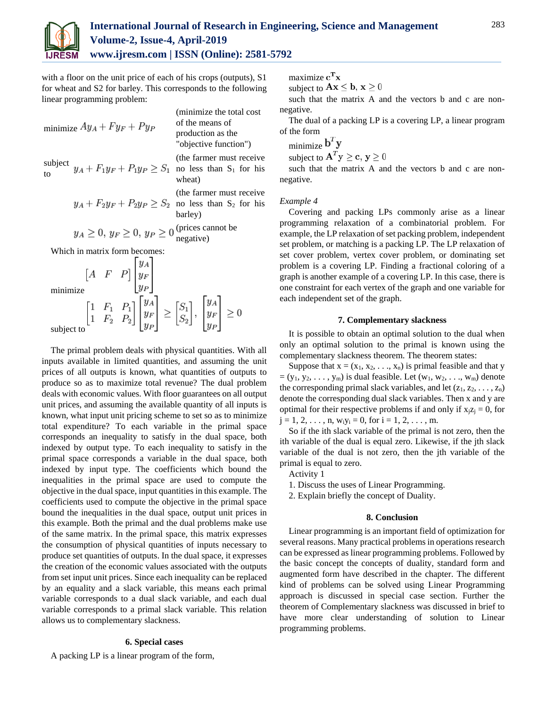

with a floor on the unit price of each of his crops (outputs), S1 for wheat and S2 for barley. This corresponds to the following linear programming problem:

| minimize $Ay_A + Fy_F + Py_P$                                      | (minimize the total cost<br>of the means of<br>production as the<br>"objective function") |
|--------------------------------------------------------------------|-------------------------------------------------------------------------------------------|
| subject $y_A + F_1y_F + P_1y_P \ge S_1$ no less than $S_1$ for his | (the farmer must receive)<br>wheat)                                                       |
| $y_A + F_2y_F + P_2y_P \geq S_2$ no less than $S_2$ for his        | (the farmer must receive)<br>barley)                                                      |
| $y_A \geq 0, y_F \geq 0, y_P \geq 0$ (prices cannot be             | negative)                                                                                 |

Which in matrix form becomes:

minimize subject to

The primal problem deals with physical quantities. With all inputs available in limited quantities, and assuming the unit prices of all outputs is known, what quantities of outputs to produce so as to maximize total revenue? The dual problem deals with economic values. With floor guarantees on all output unit prices, and assuming the available quantity of all inputs is known, what input unit pricing scheme to set so as to minimize total expenditure? To each variable in the primal space corresponds an inequality to satisfy in the dual space, both indexed by output type. To each inequality to satisfy in the primal space corresponds a variable in the dual space, both indexed by input type. The coefficients which bound the inequalities in the primal space are used to compute the objective in the dual space, input quantities in this example. The coefficients used to compute the objective in the primal space bound the inequalities in the dual space, output unit prices in this example. Both the primal and the dual problems make use of the same matrix. In the primal space, this matrix expresses the consumption of physical quantities of inputs necessary to produce set quantities of outputs. In the dual space, it expresses the creation of the economic values associated with the outputs from set input unit prices. Since each inequality can be replaced by an equality and a slack variable, this means each primal variable corresponds to a dual slack variable, and each dual variable corresponds to a primal slack variable. This relation allows us to complementary slackness.

# **6. Special cases**

A packing LP is a linear program of the form,

maximize  $\mathbf{c}^{\mathbf{T}}\mathbf{x}$ 

subject to  $\mathbf{A}\mathbf{x} \leq \mathbf{b}$ ,  $\mathbf{x} \geq 0$ 

such that the matrix A and the vectors b and c are nonnegative.

The dual of a packing LP is a covering LP, a linear program of the form

minimize  $\mathbf{b}^T \mathbf{y}$ subject to  $A^T y \geq c, y \geq 0$ 

such that the matrix A and the vectors b and c are nonnegative.

### *Example 4*

Covering and packing LPs commonly arise as a linear programming relaxation of a combinatorial problem. For example, the LP relaxation of set packing problem, independent set problem, or matching is a packing LP. The LP relaxation of set cover problem, vertex cover problem, or dominating set problem is a covering LP. Finding a fractional coloring of a graph is another example of a covering LP. In this case, there is one constraint for each vertex of the graph and one variable for each independent set of the graph.

#### **7. Complementary slackness**

It is possible to obtain an optimal solution to the dual when only an optimal solution to the primal is known using the complementary slackness theorem. The theorem states:

Suppose that  $x = (x_1, x_2, \ldots, x_n)$  is primal feasible and that y  $=(y_1, y_2, \ldots, y_m)$  is dual feasible. Let  $(w_1, w_2, \ldots, w_m)$  denote the corresponding primal slack variables, and let  $(z_1, z_2, \ldots, z_n)$ denote the corresponding dual slack variables. Then x and y are optimal for their respective problems if and only if  $x_iz_j = 0$ , for  $j = 1, 2, \ldots, n, w_i y_i = 0$ , for  $i = 1, 2, \ldots, m$ .

So if the ith slack variable of the primal is not zero, then the ith variable of the dual is equal zero. Likewise, if the jth slack variable of the dual is not zero, then the jth variable of the primal is equal to zero.

Activity 1

- 1. Discuss the uses of Linear Programming.
- 2. Explain briefly the concept of Duality.

#### **8. Conclusion**

Linear programming is an important field of optimization for several reasons. Many practical problems in operations research can be expressed as linear programming problems. Followed by the basic concept the concepts of duality, standard form and augmented form have described in the chapter. The different kind of problems can be solved using Linear Programming approach is discussed in special case section. Further the theorem of Complementary slackness was discussed in brief to have more clear understanding of solution to Linear programming problems.